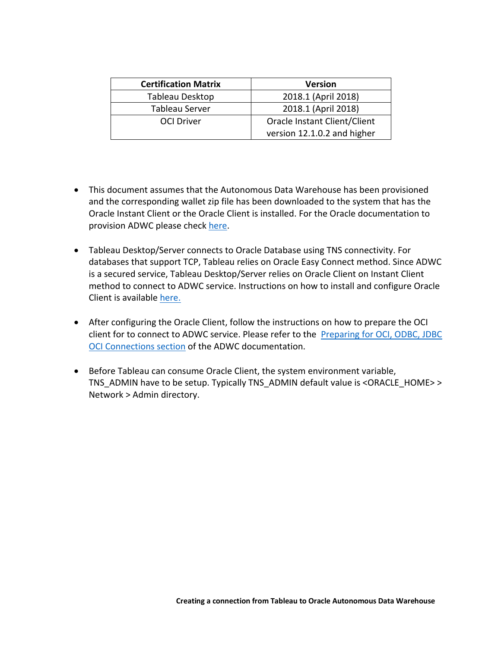| <b>Certification Matrix</b> | <b>Version</b>               |
|-----------------------------|------------------------------|
| Tableau Desktop             | 2018.1 (April 2018)          |
| Tableau Server              | 2018.1 (April 2018)          |
| <b>OCI Driver</b>           | Oracle Instant Client/Client |
|                             | version 12.1.0.2 and higher  |

- • This document assumes that the Autonomous Data Warehouse has been provisioned and the corresponding wallet zip file has been downloaded to the system that has the Oracle Instant Client or the Oracle Client is installed. For the Oracle documentation to provision ADWC please check here.
- • Tableau Desktop/Server connects to Oracle Database using TNS connectivity. For databases that support TCP, Tableau relies on Oracle Easy Connect method. Since ADWC is a secured service, Tableau Desktop/Server relies on Oracle Client on Instant Client method to connect to ADWC service. Instructions on how to install and configure Oracle Client is available here.
- • After configuring the Oracle Client, follow the instructions on how to prepare the OCI client for to connect to ADWC service. Please refer to the Preparing for OCI, ODBC, JDBC **OCI Connections section of the ADWC documentation.**
- • Before Tableau can consume Oracle Client, the system environment variable, TNS\_ADMIN have to be setup. Typically TNS\_ADMIN default value is <ORACLE\_HOME> > Network > Admin directory.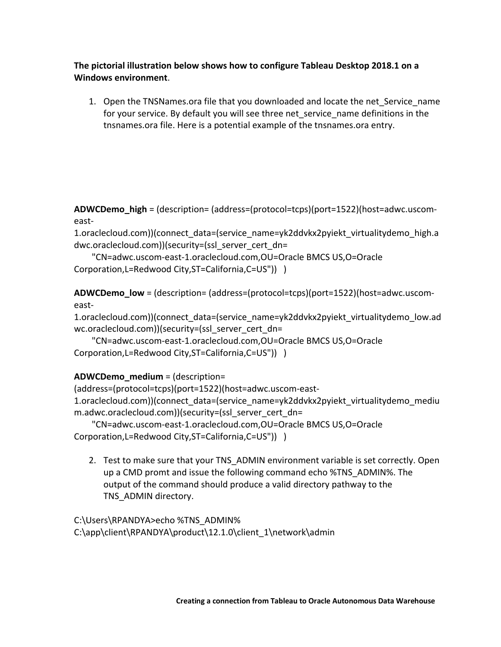**The pictorial illustration below shows how to configure Tableau Desktop 2018.1 on a Windows environment**.

 1. Open the TNSNames.ora file that you downloaded and locate the net\_Service\_name for your service. By default you will see three net\_service\_name definitions in the tnsnames.ora file. Here is a potential example of the tnsnames.ora entry.

**ADWCDemo\_high** = (description= (address=(protocol=tcps)(port=1522)(host=adwc.uscomeast-

1.oraclecloud.com))(connect\_data=(service\_name=yk2ddvkx2pyiekt\_virtualitydemo\_high.a dwc.oraclecloud.com))(security=(ssl\_server\_cert\_dn=

```
 
Corporation,L=Redwood City,ST=California,C=US")) ) 
   "CN=adwc.uscom-east-1.oraclecloud.com,OU=Oracle BMCS US,O=Oracle
```
**ADWCDemo\_low** = (description= (address=(protocol=tcps)(port=1522)(host=adwc.uscomeast-

1.oraclecloud.com))(connect\_data=(service\_name=yk2ddvkx2pyiekt\_virtualitydemo\_low.ad wc.oraclecloud.com))(security=(ssl\_server\_cert\_dn=

 Corporation,L=Redwood City,ST=California,C=US")) ) "CN=adwc.uscom-east-1.oraclecloud.com,OU=Oracle BMCS US,O=Oracle

## **ADWCDemo\_medium** = (description=

(address=(protocol=tcps)(port=1522)(host=adwc.uscom-east-1.oraclecloud.com))(connect\_data=(service\_name=yk2ddvkx2pyiekt\_virtualitydemo\_mediu m.adwc.oraclecloud.com))(security=(ssl\_server\_cert\_dn=

 Corporation,L=Redwood City,ST=California,C=US")) ) "CN=adwc.uscom-east-1.oraclecloud.com,OU=Oracle BMCS US,O=Oracle

 2. Test to make sure that your TNS\_ADMIN environment variable is set correctly. Open up a CMD promt and issue the following command echo %TNS\_ADMIN%. The output of the command should produce a valid directory pathway to the TNS\_ADMIN directory.

C:\Users\RPANDYA>echo %TNS\_ADMIN% C:\app\client\RPANDYA\product\12.1.0\client\_1\network\admin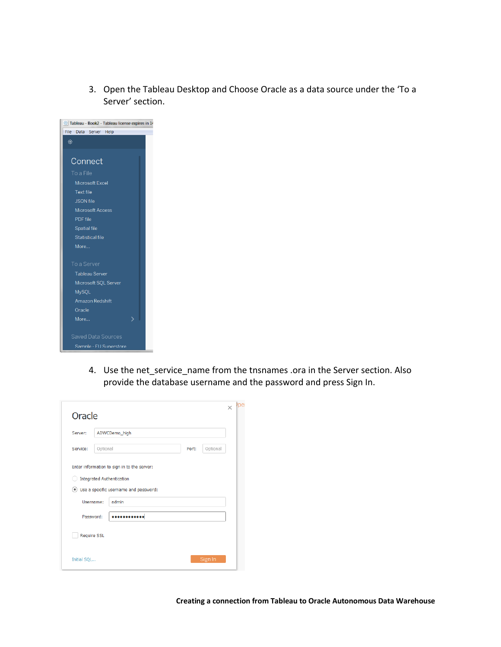3. Open the Tableau Desktop and Choose Oracle as a data source under the 'To a Server' section.

| File<br>Data Server Help  |
|---------------------------|
|                           |
| 藥                         |
|                           |
| Connect                   |
| To a File                 |
| Microsoft Excel           |
| <b>Text file</b>          |
| <b>JSON</b> file          |
| <b>Microsoft Access</b>   |
| PDF file                  |
| <b>Spatial file</b>       |
| <b>Statistical file</b>   |
| More                      |
|                           |
| To a Server               |
| <b>Tableau Server</b>     |
| Microsoft SQL Server      |
| <b>MySQL</b>              |
| Amazon Redshift           |
| Oracle                    |
| More                      |
|                           |
| <b>Saved Data Sources</b> |
| Sample - EU Superstore    |

 4. Use the net\_service\_name from the tnsnames .ora in the Server section. Also provide the database username and the password and press Sign In.

| Oracle      |                    |                                             |       |          | $\times$ |
|-------------|--------------------|---------------------------------------------|-------|----------|----------|
| Server:     |                    | ADWCDemo_high                               |       |          |          |
| Service:    | Optional           |                                             | Port: | Optional |          |
|             |                    | Enter information to sign in to the server: |       |          |          |
|             |                    | <b>Integrated Authentication</b>            |       |          |          |
|             |                    | Use a specific username and password:       |       |          |          |
|             | Username:          | admin                                       |       |          |          |
|             | Password:          |                                             |       |          |          |
|             | <b>Require SSL</b> |                                             |       |          |          |
| Initial SQL |                    |                                             |       | Sign In  |          |